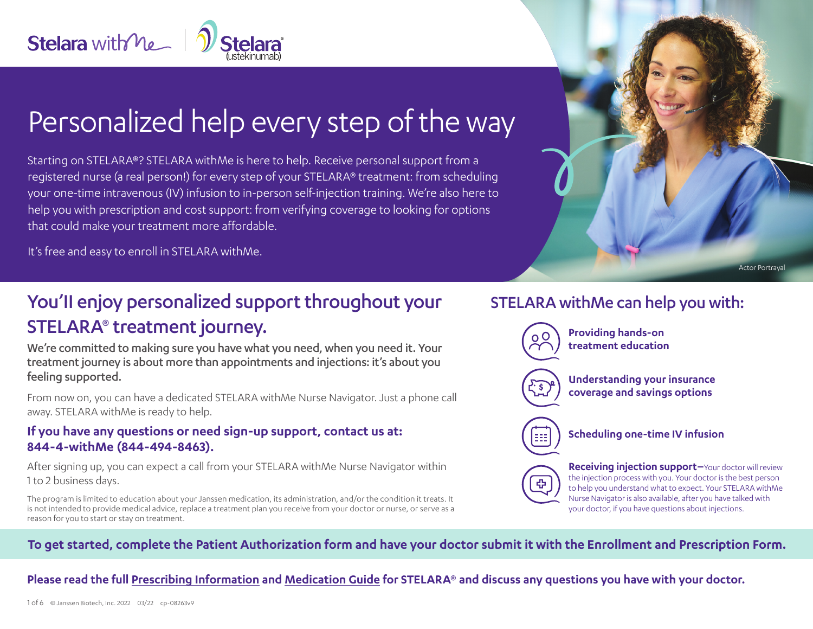

# Personalized help every step of the way

Starting on STELARA®? STELARA withMe is here to help. Receive personal support from a registered nurse (a real person!) for every step of your STELARA® treatment: from scheduling your one-time intravenous (IV) infusion to in-person self-injection training. We're also here to help you with prescription and cost support: from verifying coverage to looking for options that could make your treatment more affordable.

It's free and easy to enroll in STELARA withMe.

# You'll enjoy personalized support throughout your STELARA® treatment journey.

We're committed to making sure you have what you need, when you need it. Your treatment journey is about more than appointments and injections: it's about you feeling supported.

From now on, you can have a dedicated STELARA withMe Nurse Navigator. Just a phone call away. STELARA withMe is ready to help.

### **If you have any questions or need sign-up support, contact us at: 844-4-withMe (844-494-8463).**

After signing up, you can expect a call from your STELARA withMe Nurse Navigator within 1 to 2 business days.

The program is limited to education about your Janssen medication, its administration, and/or the condition it treats. It is not intended to provide medical advice, replace a treatment plan you receive from your doctor or nurse, or serve as a reason for you to start or stay on treatment.

# STELARA withMe can help you with:



to help you understand what to expect. Your STELARA withMe Nurse Navigator is also available, after you have talked with your doctor, if you have questions about injections.

Actor Portrayal

# **To get started, complete the Patient Authorization form and have your doctor submit it with the Enrollment and Prescription Form.**

**Please read the full [Prescribing Information](https://www.janssenlabels.com/package-insert/product-monograph/prescribing-information/STELARA-pi.pdf) and [Medication Guide](https://www.janssenlabels.com/package-insert/product-patient-information/STELARA-medication-guide.pdf) for STELARA® and discuss any questions you have with your doctor.**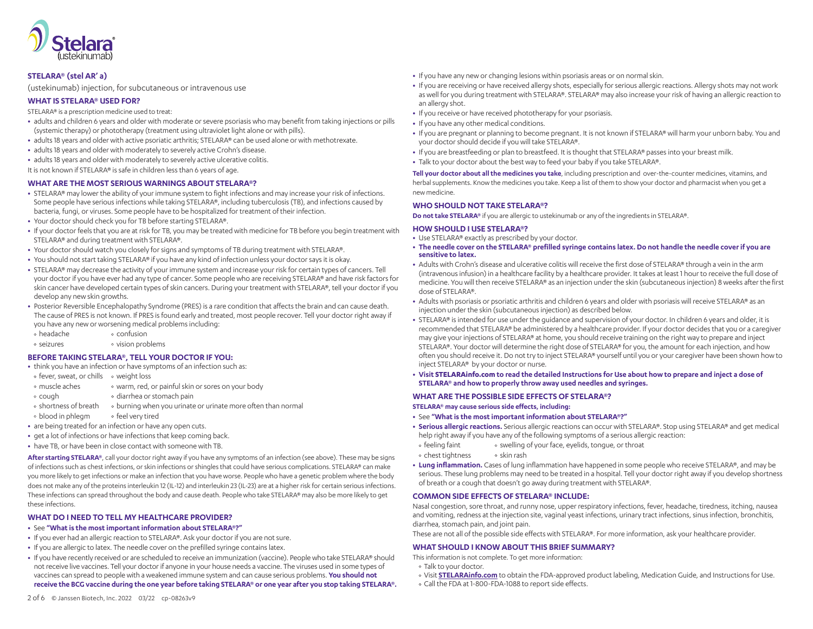

#### **STELARA® (stel AR' a)**

(ustekinumab) injection, for subcutaneous or intravenous use

#### **WHAT IS STELARA® USED FOR?**

STELARA® is a prescription medicine used to treat:

- **•** adults and children 6 years and older with moderate or severe psoriasis who may benefit from taking injections or pills (systemic therapy) or phototherapy (treatment using ultraviolet light alone or with pills).
- **•** adults 18 years and older with active psoriatic arthritis; STELARA® can be used alone or with methotrexate.
- **•** adults 18 years and older with moderately to severely active Crohn's disease.
- **•** adults 18 years and older with moderately to severely active ulcerative colitis.

It is not known if STELARA® is safe in children less than 6 years of age.

#### **WHAT ARE THE MOST SERIOUS WARNINGS ABOUT STELARA®?**

- **•** STELARA® may lower the ability of your immune system to fight infections and may increase your risk of infections. Some people have serious infections while taking STELARA®, including tuberculosis (TB), and infections caused by bacteria, fungi, or viruses. Some people have to be hospitalized for treatment of their infection.
- **•** Your doctor should check you for TB before starting STELARA®.
- **•** If your doctor feels that you are at risk for TB, you may be treated with medicine for TB before you begin treatment with STELARA® and during treatment with STELARA®.
- **•** Your doctor should watch you closely for signs and symptoms of TB during treatment with STELARA®.
- **•** You should not start taking STELARA® if you have any kind of infection unless your doctor says it is okay.
- **•** STELARA® may decrease the activity of your immune system and increase your risk for certain types of cancers. Tell your doctor if you have ever had any type of cancer. Some people who are receiving STELARA® and have risk factors for skin cancer have developed certain types of skin cancers. During your treatment with STELARA®, tell your doctor if you develop any new skin growths.
- **•** Posterior Reversible Encephalopathy Syndrome (PRES) is a rare condition that affects the brain and can cause death. The cause of PRES is not known. If PRES is found early and treated, most people recover. Tell your doctor right away if you have any new or worsening medical problems including:
- headache confusion
- seizures vision problems

#### **BEFORE TAKING STELARA®, TELL YOUR DOCTOR IF YOU:**

- **•** think you have an infection or have symptoms of an infection such as:
- o fever, sweat, or chills o weight loss
- muscle aches warm, red, or painful skin or sores on your body
- cough diarrhea or stomach pain
- o shortness of breath o burning when you urinate or urinate more often than normal
- . blood in phlegm ofeel very tired
- **•** are being treated for an infection or have any open cuts.
- **•** get a lot of infections or have infections that keep coming back.
- **•** have TB, or have been in close contact with someone with TB.

**After starting STELARA®**, call your doctor right away if you have any symptoms of an infection (see above). These may be signs of infections such as chest infections, or skin infections or shingles that could have serious complications. STELARA® can make you more likely to get infections or make an infection that you have worse. People who have a genetic problem where the body does not make any of the proteins interleukin 12 (IL-12) and interleukin 23 (IL-23) are at a higher risk for certain serious infections. These infections can spread throughout the body and cause death. People who take STELARA® may also be more likely to get these infections.

#### **WHAT DO I NEED TO TELL MY HEALTHCARE PROVIDER?**

- **•** See **"What is the most important information about STELARA®?"**
- **•** If you ever had an allergic reaction to STELARA®. Ask your doctor if you are not sure.
- **•** If you are allergic to latex. The needle cover on the prefilled syringe contains latex.
- **•** If you have recently received or are scheduled to receive an immunization (vaccine). People who take STELARA® should not receive live vaccines. Tell your doctor if anyone in your house needs a vaccine. The viruses used in some types of vaccines can spread to people with a weakened immune system and can cause serious problems. **You should not receive the BCG vaccine during the one year before taking STELARA® or one year after you stop taking STELARA®.**
- **•** If you have any new or changing lesions within psoriasis areas or on normal skin.
- **•** If you are receiving or have received allergy shots, especially for serious allergic reactions. Allergy shots may not work as well for you during treatment with STELARA®. STELARA® may also increase your risk of having an allergic reaction to an allergy shot.
- **•** If you receive or have received phototherapy for your psoriasis.
- **•** If you have any other medical conditions.
- **•** If you are pregnant or planning to become pregnant. It is not known if STELARA® will harm your unborn baby. You and your doctor should decide if you will take STELARA®.
- **•** If you are breastfeeding or plan to breastfeed. It is thought that STELARA® passes into your breast milk.
- **•** Talk to your doctor about the best way to feed your baby if you take STELARA®.

**Tell your doctor about all the medicines you take**, including prescription and over-the-counter medicines, vitamins, and herbal supplements. Know the medicines you take. Keep a list of them to show your doctor and pharmacist when you get a new medicine.

#### **WHO SHOULD NOT TAKE STELARA®?**

**Do not take STELARA®** if you are allergic to ustekinumab or any of the ingredients in STELARA®.

#### **HOW SHOULD I USE STELARA®?**

- **•** Use STELARA® exactly as prescribed by your doctor.
- **• The needle cover on the STELARA® prefilled syringe contains latex. Do not handle the needle cover if you are sensitive to latex.**
- **•** Adults with Crohn's disease and ulcerative colitis will receive the first dose of STELARA® through a vein in the arm (intravenous infusion) in a healthcare facility by a healthcare provider. It takes at least 1 hour to receive the full dose of medicine. You will then receive STELARA® as an injection under the skin (subcutaneous injection) 8 weeks after the first dose of STELARA®.
- **•** Adults with psoriasis or psoriatic arthritis and children 6 years and older with psoriasis will receive STELARA® as an injection under the skin (subcutaneous injection) as described below.
- **•** STELARA® is intended for use under the guidance and supervision of your doctor. In children 6 years and older, it is recommended that STELARA® be administered by a healthcare provider. If your doctor decides that you or a caregiver may give your injections of STELARA® at home, you should receive training on the right way to prepare and inject STELARA®. Your doctor will determine the right dose of STELARA® for you, the amount for each injection, and how often you should receive it. Do not try to inject STELARA® yourself until you or your caregiver have been shown how to inject STELARA® by your doctor or nurse.
- **• Visit STELARAinfo.com to read the detailed Instructions for Use about how to prepare and inject a dose of STELARA® and how to properly throw away used needles and syringes.**

#### **WHAT ARE THE POSSIBLE SIDE EFFECTS OF STELARA®?**

**STELARA® may cause serious side effects, including:**

- **•** See **"What is the most important information about STELARA®?"**
- **• Serious allergic reactions.** Serious allergic reactions can occur with STELARA®. Stop using STELARA® and get medical help right away if you have any of the following symptoms of a serious allergic reaction:
- feeling faint swelling of your face, eyelids, tongue, or throat
- chest tightness skin rash
- **• Lung inflammation.** Cases of lung inflammation have happened in some people who receive STELARA®, and may be serious. These lung problems may need to be treated in a hospital. Tell your doctor right away if you develop shortness of breath or a cough that doesn't go away during treatment with STELARA®.

#### **COMMON SIDE EFFECTS OF STELARA® INCLUDE:**

Nasal congestion, sore throat, and runny nose, upper respiratory infections, fever, headache, tiredness, itching, nausea and vomiting, redness at the injection site, vaginal yeast infections, urinary tract infections, sinus infection, bronchitis, diarrhea, stomach pain, and joint pain.

These are not all of the possible side effects with STELARA®. For more information, ask your healthcare provider.

#### **WHAT SHOULD I KNOW ABOUT THIS BRIEF SUMMARY?**

This information is not complete. To get more information:

- Talk to your doctor.
- <sup>○</sup> Visit STELARAinfo.com to obtain the FDA-approved product labeling, Medication Guide, and Instructions for Use. Call the FDA at 1-800-FDA-1088 to report side effects.
-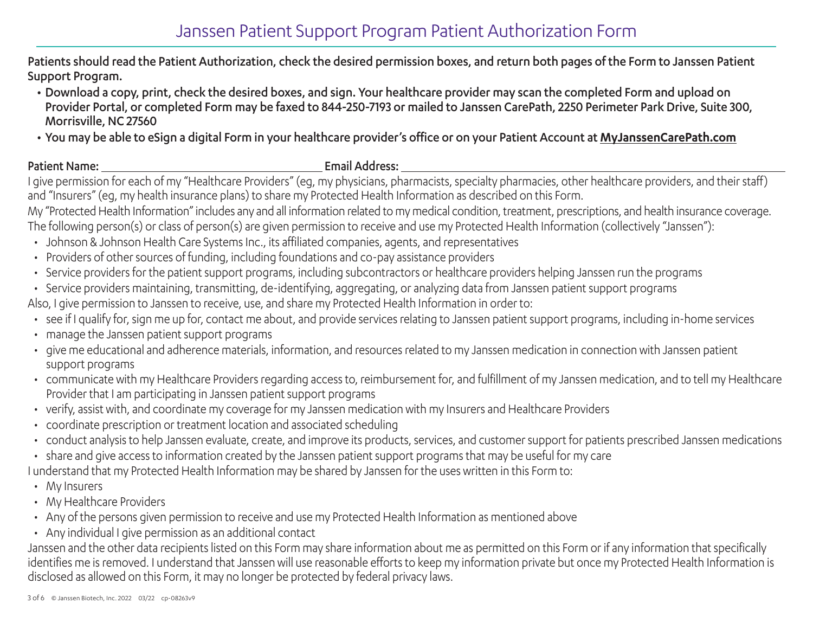# Janssen Patient Support Program Patient Authorization Form

Patients should read the Patient Authorization, check the desired permission boxes, and return both pages of the Form to Janssen Patient Support Program.

- Download a copy, print, check the desired boxes, and sign. Your healthcare provider may scan the completed Form and upload on Provider Portal, or completed Form may be faxed to 844-250-7193 or mailed to Janssen CarePath, 2250 Perimeter Park Drive, Suite 300, Morrisville, NC 27560
- You may be able to eSign a digital Form in your healthcare provider's office or on your Patient Account at **[MyJanssenCarePath.com](https://www.myjanssencarepath.com/s/login/)**

### Patient Name: Email Address:

I give permission for each of my "Healthcare Providers" (eg, my physicians, pharmacists, specialty pharmacies, other healthcare providers, and their staff) and "Insurers" (eg, my health insurance plans) to share my Protected Health Information as described on this Form.

My "Protected Health Information" includes any and all information related to my medical condition, treatment, prescriptions, and health insurance coverage. The following person(s) or class of person(s) are given permission to receive and use my Protected Health Information (collectively "Janssen"):

- Johnson & Johnson Health Care Systems Inc., its affiliated companies, agents, and representatives
- Providers of other sources of funding, including foundations and co-pay assistance providers
- Service providers for the patient support programs, including subcontractors or healthcare providers helping Janssen run the programs
- Service providers maintaining, transmitting, de-identifying, aggregating, or analyzing data from Janssen patient support programs

Also, I give permission to Janssen to receive, use, and share my Protected Health Information in order to:

- see if I qualify for, sign me up for, contact me about, and provide services relating to Janssen patient support programs, including in-home services
- manage the Janssen patient support programs
- give me educational and adherence materials, information, and resources related to my Janssen medication in connection with Janssen patient support programs
- communicate with my Healthcare Providers regarding access to, reimbursement for, and fulfillment of my Janssen medication, and to tell my Healthcare Provider that I am participating in Janssen patient support programs
- verify, assist with, and coordinate my coverage for my Janssen medication with my Insurers and Healthcare Providers
- coordinate prescription or treatment location and associated scheduling
- conduct analysis to help Janssen evaluate, create, and improve its products, services, and customer support for patients prescribed Janssen medications
- share and give access to information created by the Janssen patient support programs that may be useful for my care

I understand that my Protected Health Information may be shared by Janssen for the uses written in this Form to:

- My Insurers
- My Healthcare Providers
- Any of the persons given permission to receive and use my Protected Health Information as mentioned above
- Any individual I give permission as an additional contact

Janssen and the other data recipients listed on this Form may share information about me as permitted on this Form or if any information that specifically identifies me is removed. I understand that Janssen will use reasonable efforts to keep my information private but once my Protected Health Information is disclosed as allowed on this Form, it may no longer be protected by federal privacy laws.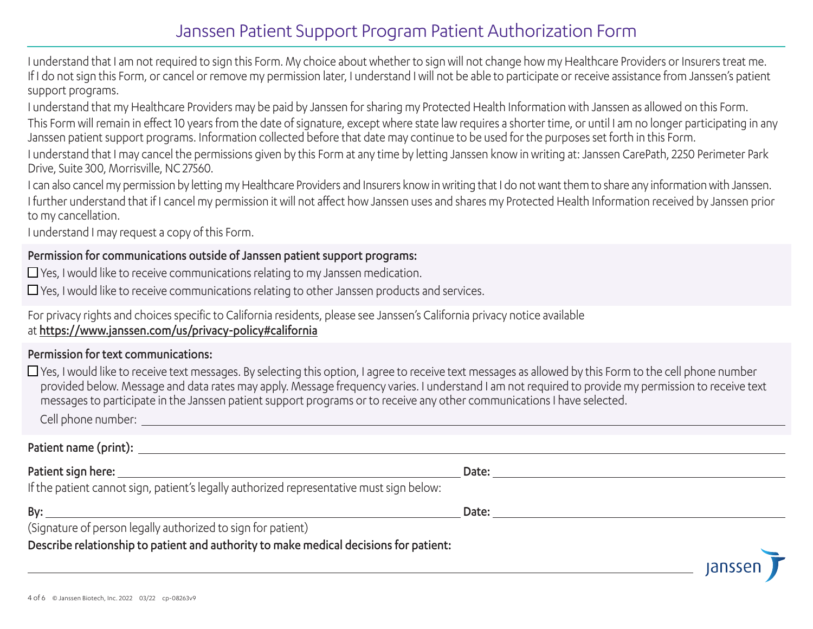# Janssen Patient Support Program Patient Authorization Form

I understand that I am not required to sign this Form. My choice about whether to sign will not change how my Healthcare Providers or Insurers treat me. If I do not sign this Form, or cancel or remove my permission later, I understand I will not be able to participate or receive assistance from Janssen's patient support programs.

I understand that my Healthcare Providers may be paid by Janssen for sharing my Protected Health Information with Janssen as allowed on this Form.

This Form will remain in effect 10 years from the date of signature, except where state law requires a shorter time, or until I am no longer participating in any Janssen patient support programs. Information collected before that date may continue to be used for the purposes set forth in this Form.

I understand that I may cancel the permissions given by this Form at any time by letting Janssen know in writing at: Janssen CarePath, 2250 Perimeter Park Drive, Suite 300, Morrisville, NC 27560.

I can also cancel my permission by letting my Healthcare Providers and Insurers know in writing that I do not want them to share any information with Janssen. I further understand that if I cancel my permission it will not affect how Janssen uses and shares my Protected Health Information received by Janssen prior to my cancellation.

I understand I may request a copy of this Form.

# Permission for communications outside of Janssen patient support programs:

 $\Box$  Yes, I would like to receive communications relating to my Janssen medication.

 $\Box$  Yes, I would like to receive communications relating to other Janssen products and services.

For privacy rights and choices specific to California residents, please see Janssen's California privacy notice available at <https://www.janssen.com/us/privacy-policy#california>

# Permission for text communications:

 $\Box$  Yes, I would like to receive text messages. By selecting this option, I agree to receive text messages as allowed by this Form to the cell phone number provided below. Message and data rates may apply. Message frequency varies. I understand I am not required to provide my permission to receive text messages to participate in the Janssen patient support programs or to receive any other communications I have selected.

Cell phone number:

 $\overline{\phantom{0}}$ 

Patient name (print):

| Patient sign here:                                                                       | Date: |
|------------------------------------------------------------------------------------------|-------|
| If the patient cannot sign, patient's legally authorized representative must sign below: |       |
| By:                                                                                      | Date: |
| (Signature of person legally authorized to sign for patient)                             |       |
| Describe relationship to patient and authority to make medical decisions for patient:    |       |

lansse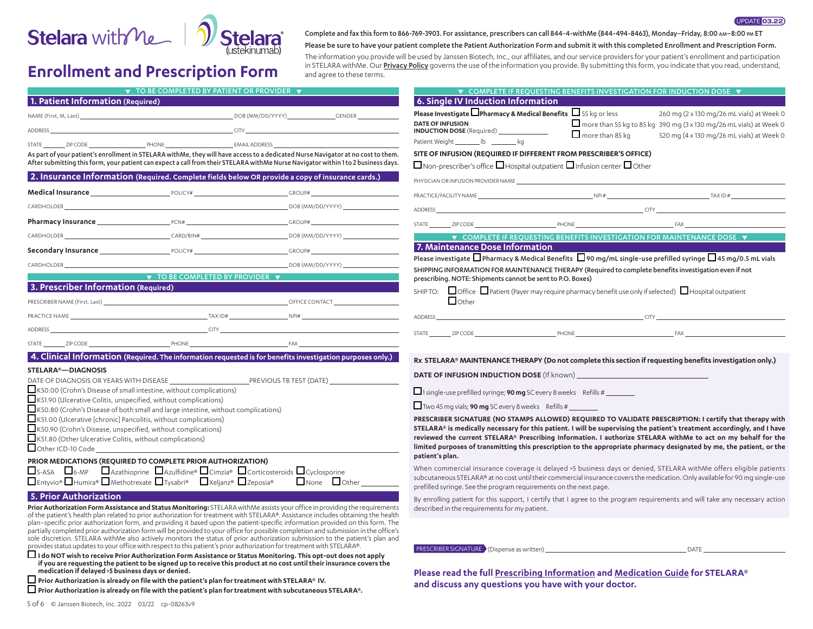

# **Enrollment and Prescription Form** and  $\frac{1}{n}$  in STELARA with Me. Our <u>P</u>

Complete and fax this form to 866-769-3903. For assistance, prescribers can call 844-4-withMe (844-494-8463), Monday–Friday, 8:00 am–8:00 pm ET

Please be sure to have your patient complete the Patient Authorization Form and submit it with this completed Enrollment and Prescription Form.

UPDATE 03.22

The information you provide will be used by Janssen Biotech, Inc., our affiliates, and our service providers for your patient's enrollment and participation<br>In STELARA withMe. Our **Privacy Policy** governs the use of the in

| $\blacktriangledown$ TO BE COMPLETED BY PATIENT OR PROVIDER $\blacktriangledown$                                                                                                                                                                                       | $\blacktriangledown$ COMPLETE IF REQUESTING BENEFITS INVESTIGATION FOR INDUCTION DOSE $\blacktriangledown$                                                                                                                     |
|------------------------------------------------------------------------------------------------------------------------------------------------------------------------------------------------------------------------------------------------------------------------|--------------------------------------------------------------------------------------------------------------------------------------------------------------------------------------------------------------------------------|
| 1. Patient Information (Required)<br><u> 1980 - Johann Barnett, fransk politiker (</u>                                                                                                                                                                                 | 6. Single IV Induction Information                                                                                                                                                                                             |
|                                                                                                                                                                                                                                                                        | Please Investigate $\square$ Pharmacy & Medical Benefits $\square$ 55 kg or less<br>260 mg (2 x 130 mg/26 mL vials) at Week 0                                                                                                  |
| <b>CITY</b><br><b>ADDRESS</b>                                                                                                                                                                                                                                          | DATE OF INFUSION<br>INDUCTION DOSE (Required) _______________<br>$\Box$ more than 55 kg to 85 kg 390 mg (3 x 130 mg/26 mL vials) at Week 0<br>$\Box$ more than 85 kg                                                           |
| STATE ZIP CODE PHONE PHONE EMAILADDRESS                                                                                                                                                                                                                                | 520 mg (4 x 130 mg/26 mL vials) at Week 0<br>Patient Weight ________ lb _________ kg                                                                                                                                           |
| As part of your patient's enrollment in STELARA withMe, they will have access to a dedicated Nurse Navigator at no cost to them.                                                                                                                                       | SITE OF INFUSION (REQUIRED IF DIFFERENT FROM PRESCRIBER'S OFFICE)                                                                                                                                                              |
| After submitting this form, your patient can expect a call from their STELARA withMe Nurse Navigator within 1 to 2 business days.                                                                                                                                      | $\Box$ Non-prescriber's office $\Box$ Hospital outpatient $\Box$ Infusion center $\Box$ Other                                                                                                                                  |
| 2. Insurance Information (Required. Complete fields below OR provide a copy of insurance cards.)<br>PHYSICIAN OR INFUSION PROVIDER NAME                                                                                                                                |                                                                                                                                                                                                                                |
|                                                                                                                                                                                                                                                                        |                                                                                                                                                                                                                                |
| $DOB (MM/DD/YYYY)$ and the contract of the contract of the contract of the contract of the contract of the contract of the contract of the contract of the contract of the contract of the contract of the contract of the contract<br>CARDHOLDER                      |                                                                                                                                                                                                                                |
|                                                                                                                                                                                                                                                                        | STATE ZIP CODE PHONE PHONE PHONE FAX                                                                                                                                                                                           |
| $CARD/BIN#$ $DOB (MM/DD/YYYY)$ $DOB (MM/DD/YYYY)$<br>CARDHOLDER                                                                                                                                                                                                        | <b>V</b> COMPLETE IF REQUESTING BENEFITS INVESTIGATION FOR MAINTENANCE DOSE $\blacktriangledown$                                                                                                                               |
| <b>Secondary Insurance Example 2018</b> POLICY# <b>CROUP# CROUP#</b> GROUP#                                                                                                                                                                                            | 7. Maintenance Dose Information <b>Algebra 2014</b>                                                                                                                                                                            |
| CARDHOLDER DOB (MM/DD/YYYY)                                                                                                                                                                                                                                            | Please investigate $\Box$ Pharmacy & Medical Benefits $\Box$ 90 mg/mL single-use prefilled syringe $\Box$ 45 mg/0.5 mL vials                                                                                                   |
| <b>Example 2018 v</b> TO BE COMPLETED BY PROVIDER $\blacktriangledown$                                                                                                                                                                                                 | SHIPPING INFORMATION FOR MAINTENANCE THERAPY (Required to complete benefits investigation even if not<br>prescribing. NOTE: Shipments cannot be sent to P.O. Boxes)                                                            |
| 3. Prescriber Information (Required)                                                                                                                                                                                                                                   | SHIP TO: $\Box$ Office $\Box$ Patient (Payer may require pharmacy benefit use only if selected) $\Box$ Hospital outpatient                                                                                                     |
|                                                                                                                                                                                                                                                                        | $\Box$ Other                                                                                                                                                                                                                   |
| PRACTICE NAME                                                                                                                                                                                                                                                          | <b>ADDRESS</b>                                                                                                                                                                                                                 |
| <b>ADDRESS</b>                                                                                                                                                                                                                                                         | STATE ZIP CODE PHONE PHONE                                                                                                                                                                                                     |
|                                                                                                                                                                                                                                                                        |                                                                                                                                                                                                                                |
| 4. Clinical Information (Required. The information requested is for benefits investigation purposes only.)                                                                                                                                                             | Rx STELARA® MAINTENANCE THERAPY (Do not complete this section if requesting benefits investigation only.)                                                                                                                      |
| <b>STELARA®-DIAGNOSIS</b>                                                                                                                                                                                                                                              | DATE OF INFUSION INDUCTION DOSE (If known)                                                                                                                                                                                     |
| K50.00 (Crohn's Disease of small intestine, without complications)                                                                                                                                                                                                     | $\Box$ 1 single-use prefilled syringe; <b>90 mg</b> SC every 8 weeks Refills #                                                                                                                                                 |
| K51.90 (Ulcerative Colitis, unspecified, without complications)                                                                                                                                                                                                        | $\Box$ Two 45 mg vials; <b>90 mg</b> SC every 8 weeks Refills #                                                                                                                                                                |
| □ K50.80 (Crohn's Disease of both small and large intestine, without complications)<br>$\Box$ K51.00 (Ulcerative [chronic] Pancolitis, without complications)                                                                                                          | PRESCRIBER SIGNATURE (NO STAMPS ALLOWED) REQUIRED TO VALIDATE PRESCRIPTION: I certify that therapy with                                                                                                                        |
| K50.90 (Crohn's Disease, unspecified, without complications)                                                                                                                                                                                                           | STELARA® is medically necessary for this patient. I will be supervising the patient's treatment accordingly, and I have                                                                                                        |
| K51.80 (Other Ulcerative Colitis, without complications)                                                                                                                                                                                                               | reviewed the current STELARA® Prescribing Information. I authorize STELARA withMe to act on my behalf for the                                                                                                                  |
| Other ICD-10 Code                                                                                                                                                                                                                                                      | limited purposes of transmitting this prescription to the appropriate pharmacy designated by me, the patient, or the<br>patient's plan.                                                                                        |
| PRIOR MEDICATIONS (REQUIRED TO COMPLETE PRIOR AUTHORIZATION)                                                                                                                                                                                                           | When commercial insurance coverage is delayed >5 business days or denied, STELARA withMe offers eligible patients                                                                                                              |
| □5-ASA □6-MP □ Azathioprine □ Azulfidine® □ Cimzia® □ Corticosteroids □ Cyclosporine<br>□Entyvio® □ Humira® □ Methotrexate □ Tysabri® □ Xeljanz® □ Zeposia®<br>$\Box$ None $\Box$ Other                                                                                | subcutaneous STELARA® at no cost until their commercial insurance covers the medication. Only available for 90 mg single-use                                                                                                   |
|                                                                                                                                                                                                                                                                        | prefilled syringe. See the program requirements on the next page.                                                                                                                                                              |
| 5. Prior Authorization<br>Prior Authorization Form Assistance and Status Monitoring: STELARA withMe assists your office in providing the requirements                                                                                                                  | By enrolling patient for this support, I certify that I agree to the program requirements and will take any necessary action<br>described in the requirements for my patient.                                                  |
| of the patient's health plan related to prior authorization for treatment with STELARA®. Assistance includes obtaining the health                                                                                                                                      |                                                                                                                                                                                                                                |
| plan-specific prior authorization form, and providing it based upon the patient-specific information provided on this form. The<br>partially completed prior authorization form will be provided to your office for possible completion and submission in the office's |                                                                                                                                                                                                                                |
| sole discretion. STELARA withMe also actively monitors the status of prior authorization submission to the patient's plan and                                                                                                                                          |                                                                                                                                                                                                                                |
| provides status updates to your office with respect to this patient's prior authorization for treatment with STELARA®.<br>$\Box$ I do NOT wish to receive Prior Authorization Form Assistance or Status Monitoring. This opt-out does not apply                        | PRESCRIBER SIGNATURE (Dispense as written) and the control of the control of the control of the control of the control of the control of the control of the control of the control of the control of the control of the contro |
| if you are requesting the patient to be signed up to receive this product at no cost until their insurance covers the                                                                                                                                                  |                                                                                                                                                                                                                                |
| medication if delayed >5 business days or denied.<br>$\Box$ Prior Authorization is already on file with the patient's plan for treatment with STELARA® IV.                                                                                                             | Please read the full Prescribing Information and Medication Guide for STELARA®                                                                                                                                                 |
| $\Box$ Prior Authorization is already on file with the patient's plan for treatment with subcutaneous STELARA®.                                                                                                                                                        | and discuss any questions you have with your doctor.                                                                                                                                                                           |